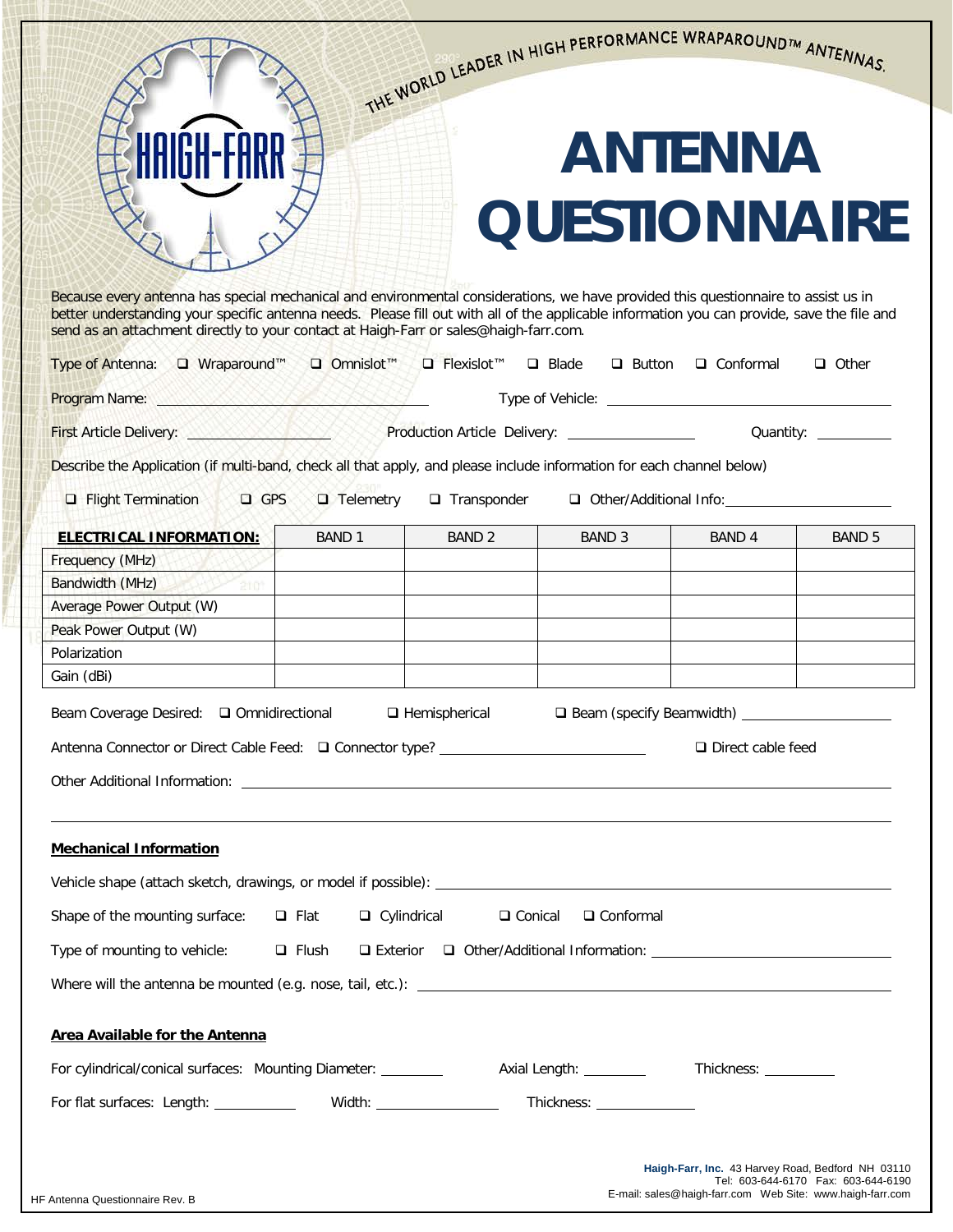|                                                                                                                                                                                                                                                                                                                                                                            |                               |                                | THE WORLD LEADER IN HIGH PERFORMANCE WRAPAROUNDIM ANTENNAS. |                                                     |                                      |  |
|----------------------------------------------------------------------------------------------------------------------------------------------------------------------------------------------------------------------------------------------------------------------------------------------------------------------------------------------------------------------------|-------------------------------|--------------------------------|-------------------------------------------------------------|-----------------------------------------------------|--------------------------------------|--|
|                                                                                                                                                                                                                                                                                                                                                                            |                               |                                |                                                             |                                                     |                                      |  |
|                                                                                                                                                                                                                                                                                                                                                                            |                               |                                |                                                             | <b>ANTENNA</b>                                      |                                      |  |
|                                                                                                                                                                                                                                                                                                                                                                            |                               |                                | <b>QUESTIONNAIRE</b>                                        |                                                     |                                      |  |
| Because every antenna has special mechanical and environmental considerations, we have provided this questionnaire to assist us in<br>better understanding your specific antenna needs. Please fill out with all of the applicable information you can provide, save the file and<br>send as an attachment directly to your contact at Haigh-Farr or sales@haigh-farr.com. |                               |                                |                                                             |                                                     |                                      |  |
| Type of Antenna: □ Wraparound™                                                                                                                                                                                                                                                                                                                                             | $\Box$ Omnislot <sup>TM</sup> | $\Box$ Flexislot <sup>TM</sup> | $\Box$ Blade<br>$\Box$ Button                               | $\Box$ Conformal                                    | $\Box$ Other                         |  |
| <b>Program Name:</b> Name: Name: Name: Name: Name: Name: Name: Name: Name: Name: Name: Name: Name: Name: Name: Name: Name: Name: Name: Name: Name: Name: Name: Name: Name: Name: Name: Name: Name: Name: Name: Name: Name: Name: Na                                                                                                                                        |                               |                                |                                                             |                                                     |                                      |  |
| First Article Delivery: <u>Andre Communication Article Delivery:</u> Article Delivery: Article Delivery:                                                                                                                                                                                                                                                                   |                               |                                |                                                             |                                                     |                                      |  |
| Describe the Application (if multi-band, check all that apply, and please include information for each channel below)                                                                                                                                                                                                                                                      |                               |                                |                                                             |                                                     |                                      |  |
| $\Box$ Flight Termination<br>$\Box$ GPS                                                                                                                                                                                                                                                                                                                                    | $\Box$ Telemetry              | $\Box$ Transponder             |                                                             | Other/Additional Info:                              |                                      |  |
| <b>ELECTRICAL INFORMATION:</b>                                                                                                                                                                                                                                                                                                                                             | <b>BAND 1</b>                 | <b>BAND 2</b>                  | <b>BAND 3</b>                                               | BAND 4                                              | <b>BAND 5</b>                        |  |
| Frequency (MHz)                                                                                                                                                                                                                                                                                                                                                            |                               |                                |                                                             |                                                     |                                      |  |
| Bandwidth (MHz)                                                                                                                                                                                                                                                                                                                                                            |                               |                                |                                                             |                                                     |                                      |  |
| Average Power Output (W)                                                                                                                                                                                                                                                                                                                                                   |                               |                                |                                                             |                                                     |                                      |  |
| Peak Power Output (W)                                                                                                                                                                                                                                                                                                                                                      |                               |                                |                                                             |                                                     |                                      |  |
| Polarization                                                                                                                                                                                                                                                                                                                                                               |                               |                                |                                                             |                                                     |                                      |  |
| Gain (dBi)                                                                                                                                                                                                                                                                                                                                                                 |                               |                                |                                                             |                                                     |                                      |  |
| Beam Coverage Desired: □ Omnidirectional                                                                                                                                                                                                                                                                                                                                   |                               | $\Box$ Hemispherical           |                                                             | □ Beam (specify Beamwidth) ________________________ |                                      |  |
| Antenna Connector or Direct Cable Feed: □ Connector type? ______________________                                                                                                                                                                                                                                                                                           |                               |                                |                                                             | $\Box$ Direct cable feed                            |                                      |  |
| Other Additional Information: <u>All and the Community of the Community of the Community of the Community of the Community of the Community of the Community of the Community of the Community of the Community of the Community</u>                                                                                                                                       |                               |                                |                                                             |                                                     |                                      |  |
|                                                                                                                                                                                                                                                                                                                                                                            |                               |                                |                                                             |                                                     |                                      |  |
| <b>Mechanical Information</b>                                                                                                                                                                                                                                                                                                                                              |                               |                                |                                                             |                                                     |                                      |  |
| Vehicle shape (attach sketch, drawings, or model if possible): New York Channel Community of the state of the state of the state of the state of the state of the state of the state of the state of the state of the state of                                                                                                                                             |                               |                                |                                                             |                                                     |                                      |  |
| Shape of the mounting surface: $\Box$ Flat $\Box$ Cylindrical<br>□ Conical<br>□ Conformal                                                                                                                                                                                                                                                                                  |                               |                                |                                                             |                                                     |                                      |  |
|                                                                                                                                                                                                                                                                                                                                                                            |                               |                                |                                                             |                                                     |                                      |  |
|                                                                                                                                                                                                                                                                                                                                                                            |                               |                                |                                                             |                                                     |                                      |  |
| <b>Area Available for the Antenna</b>                                                                                                                                                                                                                                                                                                                                      |                               |                                |                                                             |                                                     |                                      |  |
| For cylindrical/conical surfaces: Mounting Diameter: __________ Axial Length: ________ Thickness: _______                                                                                                                                                                                                                                                                  |                               |                                |                                                             |                                                     |                                      |  |
| For flat surfaces: Length: _____________ Width: ___________________ Thickness: _____________                                                                                                                                                                                                                                                                               |                               |                                |                                                             |                                                     |                                      |  |
|                                                                                                                                                                                                                                                                                                                                                                            |                               |                                |                                                             |                                                     |                                      |  |
|                                                                                                                                                                                                                                                                                                                                                                            |                               |                                |                                                             | Haigh-Farr, Inc. 43 Harvey Road, Bedford NH 03110   | Tel: 603-644-6170  Fax: 603-644-6190 |  |